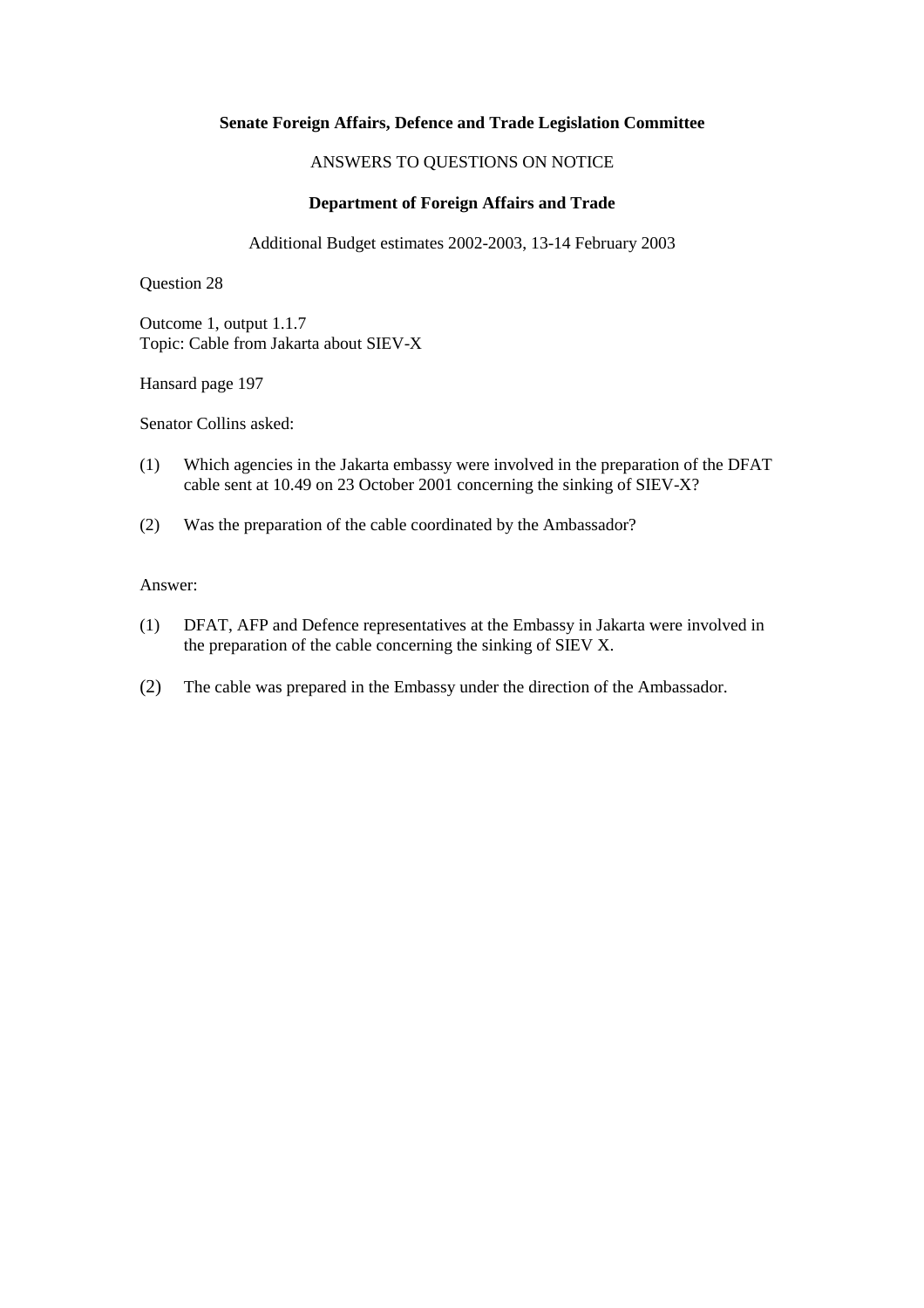# ANSWERS TO QUESTIONS ON NOTICE

# **Department of Foreign Affairs and Trade**

Additional Budget estimates 2002-2003, 13-14 February 2003

Question 28

Outcome 1, output 1.1.7 Topic: Cable from Jakarta about SIEV-X

Hansard page 197

Senator Collins asked:

- (1) Which agencies in the Jakarta embassy were involved in the preparation of the DFAT cable sent at 10.49 on 23 October 2001 concerning the sinking of SIEV-X?
- (2) Was the preparation of the cable coordinated by the Ambassador?

### Answer:

- (1) DFAT, AFP and Defence representatives at the Embassy in Jakarta were involved in the preparation of the cable concerning the sinking of SIEV X.
- (2) The cable was prepared in the Embassy under the direction of the Ambassador.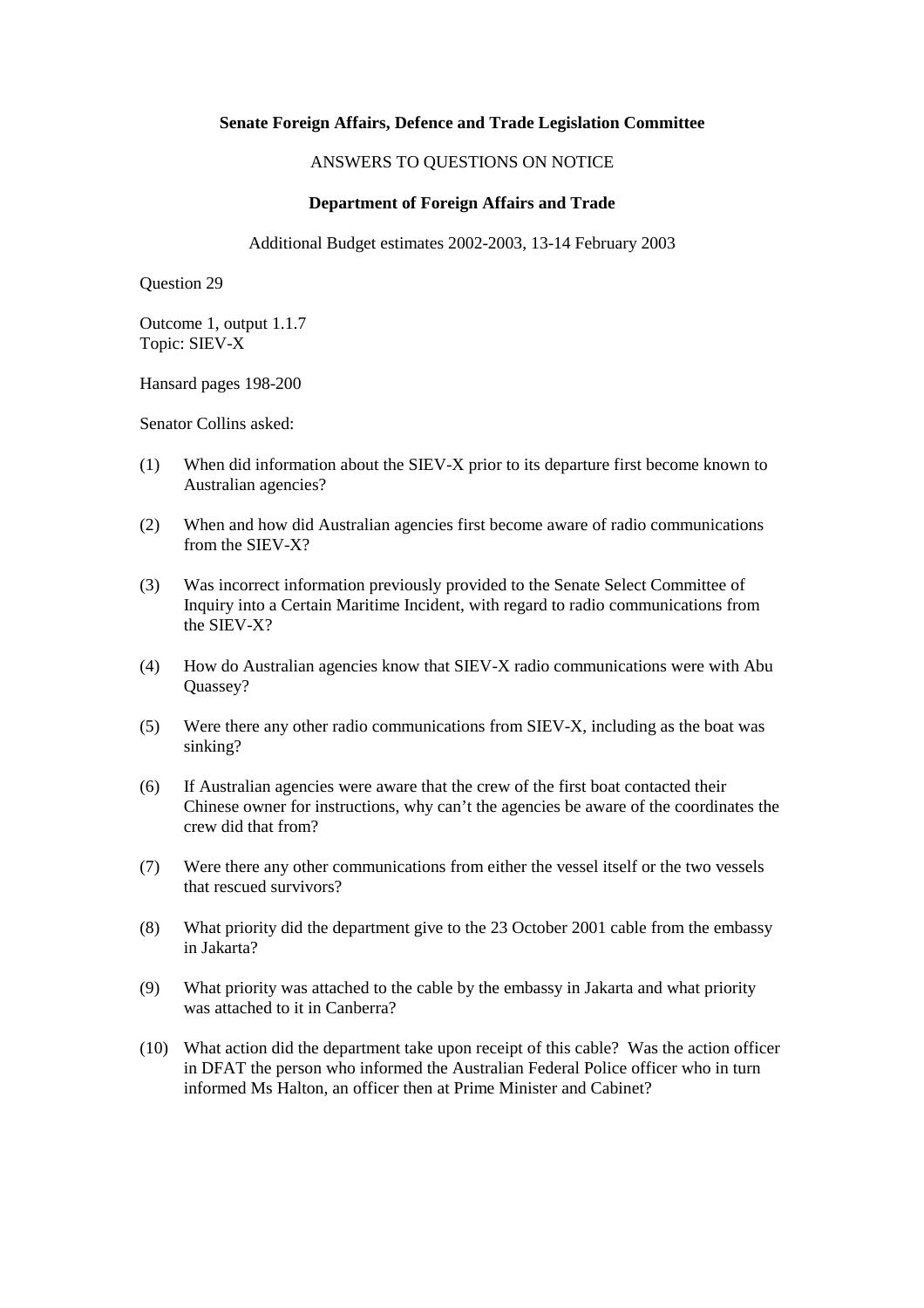### ANSWERS TO QUESTIONS ON NOTICE

### **Department of Foreign Affairs and Trade**

Additional Budget estimates 2002-2003, 13-14 February 2003

Question 29

Outcome 1, output 1.1.7 Topic: SIEV-X

Hansard pages 198-200

Senator Collins asked:

- (1) When did information about the SIEV-X prior to its departure first become known to Australian agencies?
- (2) When and how did Australian agencies first become aware of radio communications from the SIEV-X?
- (3) Was incorrect information previously provided to the Senate Select Committee of Inquiry into a Certain Maritime Incident, with regard to radio communications from the SIEV-X?
- (4) How do Australian agencies know that SIEV-X radio communications were with Abu Quassey?
- (5) Were there any other radio communications from SIEV-X, including as the boat was sinking?
- (6) If Australian agencies were aware that the crew of the first boat contacted their Chinese owner for instructions, why can't the agencies be aware of the coordinates the crew did that from?
- (7) Were there any other communications from either the vessel itself or the two vessels that rescued survivors?
- (8) What priority did the department give to the 23 October 2001 cable from the embassy in Jakarta?
- (9) What priority was attached to the cable by the embassy in Jakarta and what priority was attached to it in Canberra?
- (10) What action did the department take upon receipt of this cable? Was the action officer in DFAT the person who informed the Australian Federal Police officer who in turn informed Ms Halton, an officer then at Prime Minister and Cabinet?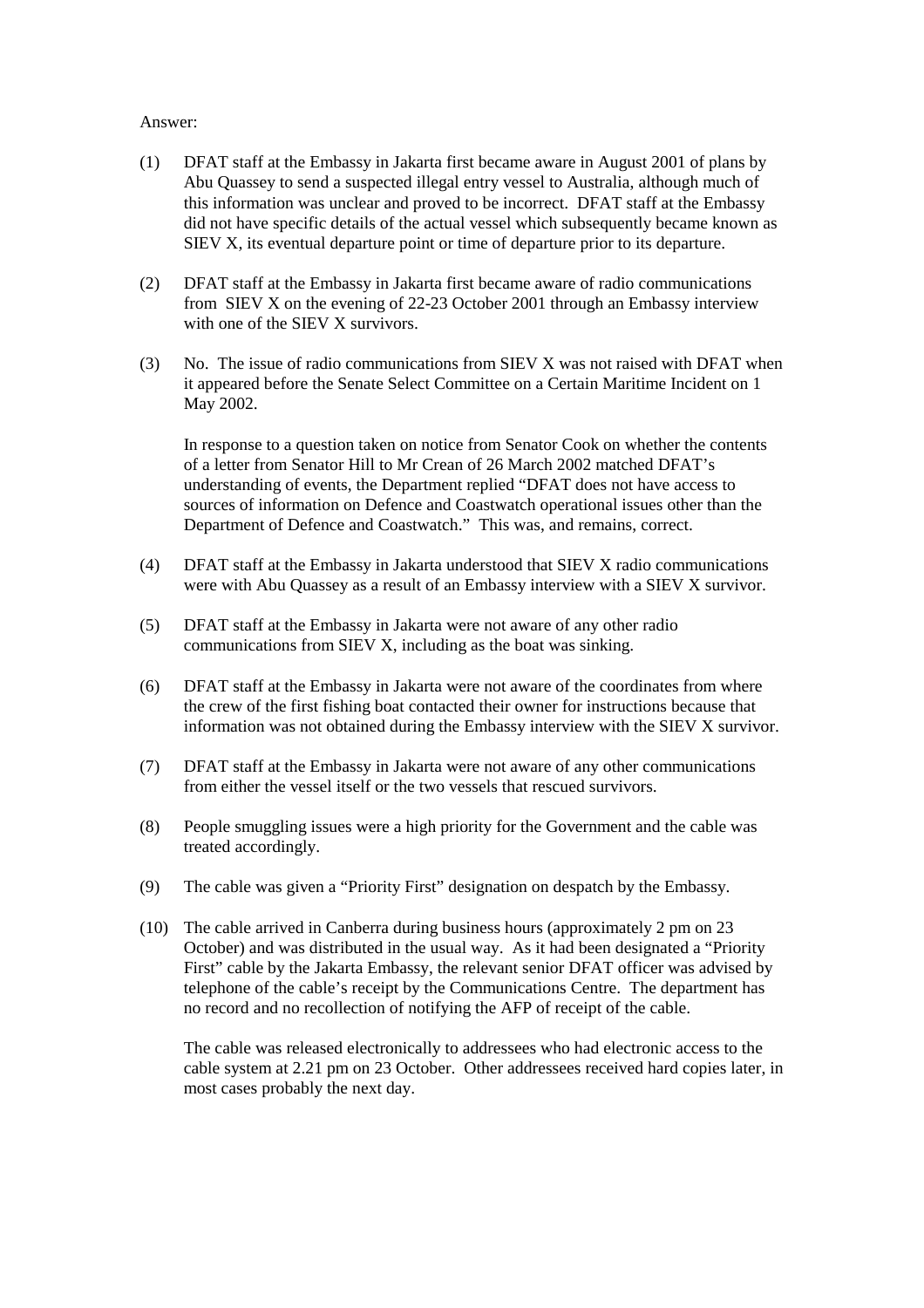#### Answer:

- (1) DFAT staff at the Embassy in Jakarta first became aware in August 2001 of plans by Abu Quassey to send a suspected illegal entry vessel to Australia, although much of this information was unclear and proved to be incorrect. DFAT staff at the Embassy did not have specific details of the actual vessel which subsequently became known as SIEV X, its eventual departure point or time of departure prior to its departure.
- (2) DFAT staff at the Embassy in Jakarta first became aware of radio communications from SIEV X on the evening of 22-23 October 2001 through an Embassy interview with one of the SIEV X survivors.
- (3) No. The issue of radio communications from SIEV X was not raised with DFAT when it appeared before the Senate Select Committee on a Certain Maritime Incident on 1 May 2002.

In response to a question taken on notice from Senator Cook on whether the contents of a letter from Senator Hill to Mr Crean of 26 March 2002 matched DFAT's understanding of events, the Department replied "DFAT does not have access to sources of information on Defence and Coastwatch operational issues other than the Department of Defence and Coastwatch." This was, and remains, correct.

- (4) DFAT staff at the Embassy in Jakarta understood that SIEV X radio communications were with Abu Quassey as a result of an Embassy interview with a SIEV X survivor.
- (5) DFAT staff at the Embassy in Jakarta were not aware of any other radio communications from SIEV X, including as the boat was sinking.
- (6) DFAT staff at the Embassy in Jakarta were not aware of the coordinates from where the crew of the first fishing boat contacted their owner for instructions because that information was not obtained during the Embassy interview with the SIEV X survivor.
- (7) DFAT staff at the Embassy in Jakarta were not aware of any other communications from either the vessel itself or the two vessels that rescued survivors.
- (8) People smuggling issues were a high priority for the Government and the cable was treated accordingly.
- (9) The cable was given a "Priority First" designation on despatch by the Embassy.
- (10) The cable arrived in Canberra during business hours (approximately 2 pm on 23 October) and was distributed in the usual way. As it had been designated a "Priority First" cable by the Jakarta Embassy, the relevant senior DFAT officer was advised by telephone of the cable's receipt by the Communications Centre. The department has no record and no recollection of notifying the AFP of receipt of the cable.

The cable was released electronically to addressees who had electronic access to the cable system at 2.21 pm on 23 October. Other addressees received hard copies later, in most cases probably the next day.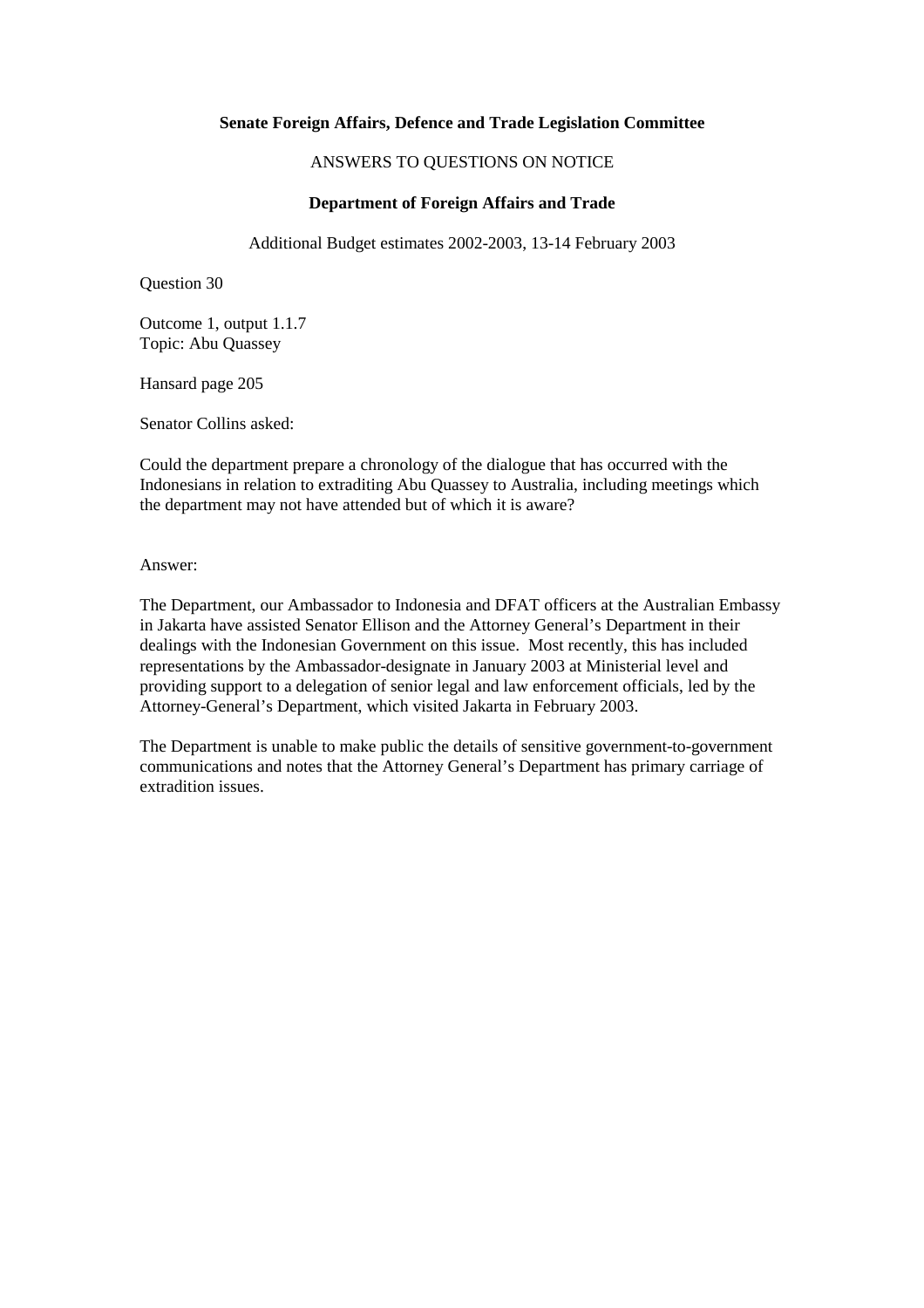### ANSWERS TO QUESTIONS ON NOTICE

### **Department of Foreign Affairs and Trade**

Additional Budget estimates 2002-2003, 13-14 February 2003

Question 30

Outcome 1, output 1.1.7 Topic: Abu Quassey

Hansard page 205

Senator Collins asked:

Could the department prepare a chronology of the dialogue that has occurred with the Indonesians in relation to extraditing Abu Quassey to Australia, including meetings which the department may not have attended but of which it is aware?

Answer:

The Department, our Ambassador to Indonesia and DFAT officers at the Australian Embassy in Jakarta have assisted Senator Ellison and the Attorney General's Department in their dealings with the Indonesian Government on this issue. Most recently, this has included representations by the Ambassador-designate in January 2003 at Ministerial level and providing support to a delegation of senior legal and law enforcement officials, led by the Attorney-General's Department, which visited Jakarta in February 2003.

The Department is unable to make public the details of sensitive government-to-government communications and notes that the Attorney General's Department has primary carriage of extradition issues.